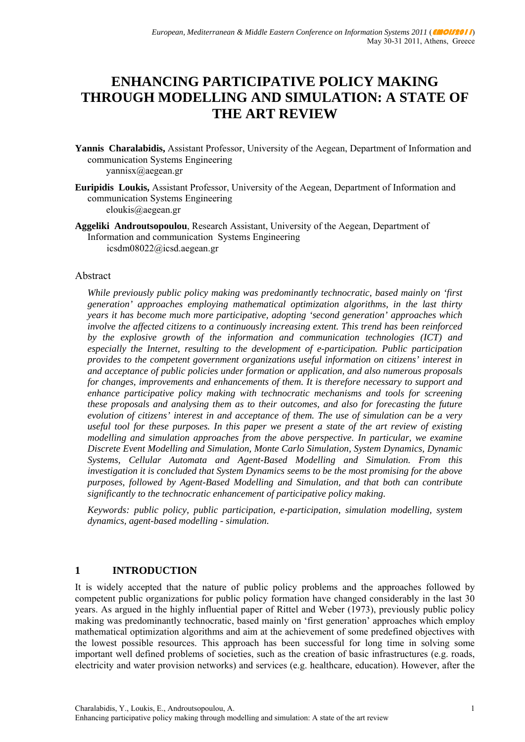# **ENHANCING PARTICIPATIVE POLICY MAKING THROUGH MODELLING AND SIMULATION: A STATE OF THE ART REVIEW**

- **Yannis Charalabidis,** Assistant Professor, University of the Aegean, Department of Information and communication Systems Engineering yannisx@aegean.gr
- **Euripidis Loukis,** Assistant Professor, University of the Aegean, Department of Information and communication Systems Engineering eloukis@aegean.gr
- **Aggeliki Androutsopoulou**, Research Assistant, University of the Aegean, Department of Information and communication Systems Engineering icsdm08022@icsd.aegean.gr

### Abstract

*While previously public policy making was predominantly technocratic, based mainly on 'first generation' approaches employing mathematical optimization algorithms, in the last thirty years it has become much more participative, adopting 'second generation' approaches which involve the affected citizens to a continuously increasing extent. This trend has been reinforced by the explosive growth of the information and communication technologies (ICT) and especially the Internet, resulting to the development of e-participation. Public participation provides to the competent government organizations useful information on citizens' interest in and acceptance of public policies under formation or application, and also numerous proposals for changes, improvements and enhancements of them. It is therefore necessary to support and enhance participative policy making with technocratic mechanisms and tools for screening these proposals and analysing them as to their outcomes, and also for forecasting the future evolution of citizens' interest in and acceptance of them. The use of simulation can be a very useful tool for these purposes. In this paper we present a state of the art review of existing modelling and simulation approaches from the above perspective. In particular, we examine Discrete Event Modelling and Simulation, Monte Carlo Simulation, System Dynamics, Dynamic Systems, Cellular Automata and Agent-Based Modelling and Simulation. From this investigation it is concluded that System Dynamics seems to be the most promising for the above purposes, followed by Agent-Based Modelling and Simulation, and that both can contribute significantly to the technocratic enhancement of participative policy making.* 

*Keywords: public policy, public participation, e-participation, simulation modelling, system dynamics, agent-based modelling - simulation.* 

## **1 INTRODUCTION**

It is widely accepted that the nature of public policy problems and the approaches followed by competent public organizations for public policy formation have changed considerably in the last 30 years. As argued in the highly influential paper of Rittel and Weber (1973), previously public policy making was predominantly technocratic, based mainly on 'first generation' approaches which employ mathematical optimization algorithms and aim at the achievement of some predefined objectives with the lowest possible resources. This approach has been successful for long time in solving some important well defined problems of societies, such as the creation of basic infrastructures (e.g. roads, electricity and water provision networks) and services (e.g. healthcare, education). However, after the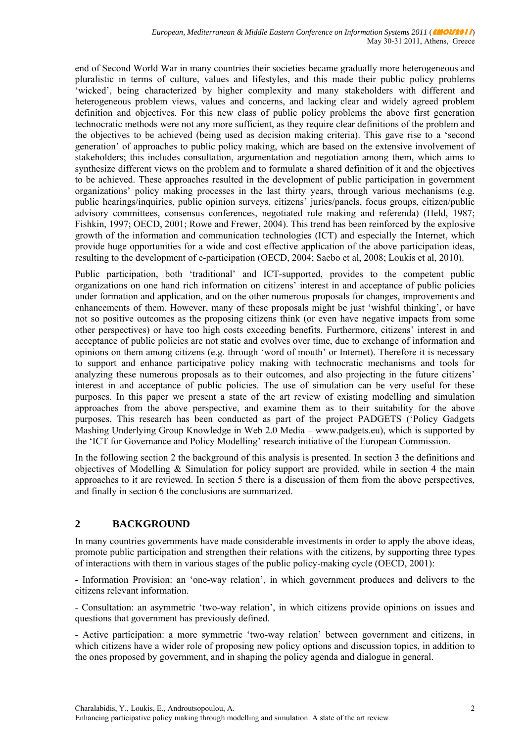end of Second World War in many countries their societies became gradually more heterogeneous and pluralistic in terms of culture, values and lifestyles, and this made their public policy problems 'wicked', being characterized by higher complexity and many stakeholders with different and heterogeneous problem views, values and concerns, and lacking clear and widely agreed problem definition and objectives. For this new class of public policy problems the above first generation technocratic methods were not any more sufficient, as they require clear definitions of the problem and the objectives to be achieved (being used as decision making criteria). This gave rise to a 'second generation' of approaches to public policy making, which are based on the extensive involvement of stakeholders; this includes consultation, argumentation and negotiation among them, which aims to synthesize different views on the problem and to formulate a shared definition of it and the objectives to be achieved. These approaches resulted in the development of public participation in government organizations' policy making processes in the last thirty years, through various mechanisms (e.g. public hearings/inquiries, public opinion surveys, citizens' juries/panels, focus groups, citizen/public advisory committees, consensus conferences, negotiated rule making and referenda) (Held, 1987; Fishkin, 1997; OECD, 2001; Rowe and Frewer, 2004). This trend has been reinforced by the explosive growth of the information and communication technologies (ICT) and especially the Internet, which provide huge opportunities for a wide and cost effective application of the above participation ideas, resulting to the development of e-participation (OECD, 2004; Saebo et al, 2008; Loukis et al, 2010).

Public participation, both 'traditional' and ICT-supported, provides to the competent public organizations on one hand rich information on citizens' interest in and acceptance of public policies under formation and application, and on the other numerous proposals for changes, improvements and enhancements of them. However, many of these proposals might be just 'wishful thinking', or have not so positive outcomes as the proposing citizens think (or even have negative impacts from some other perspectives) or have too high costs exceeding benefits. Furthermore, citizens' interest in and acceptance of public policies are not static and evolves over time, due to exchange of information and opinions on them among citizens (e.g. through 'word of mouth' or Internet). Therefore it is necessary to support and enhance participative policy making with technocratic mechanisms and tools for analyzing these numerous proposals as to their outcomes, and also projecting in the future citizens' interest in and acceptance of public policies. The use of simulation can be very useful for these purposes. In this paper we present a state of the art review of existing modelling and simulation approaches from the above perspective, and examine them as to their suitability for the above purposes. This research has been conducted as part of the project PADGETS ('Policy Gadgets Mashing Underlying Group Knowledge in Web 2.0 Media – www.padgets.eu), which is supported by the 'ICT for Governance and Policy Modelling' research initiative of the European Commission.

In the following section 2 the background of this analysis is presented. In section 3 the definitions and objectives of Modelling  $\&$  Simulation for policy support are provided, while in section 4 the main approaches to it are reviewed. In section 5 there is a discussion of them from the above perspectives, and finally in section 6 the conclusions are summarized.

# **2 BACKGROUND**

In many countries governments have made considerable investments in order to apply the above ideas, promote public participation and strengthen their relations with the citizens, by supporting three types of interactions with them in various stages of the public policy-making cycle (OECD, 2001):

- Information Provision: an 'one-way relation', in which government produces and delivers to the citizens relevant information.

- Consultation: an asymmetric 'two-way relation', in which citizens provide opinions on issues and questions that government has previously defined.

- Active participation: a more symmetric 'two-way relation' between government and citizens, in which citizens have a wider role of proposing new policy options and discussion topics, in addition to the ones proposed by government, and in shaping the policy agenda and dialogue in general.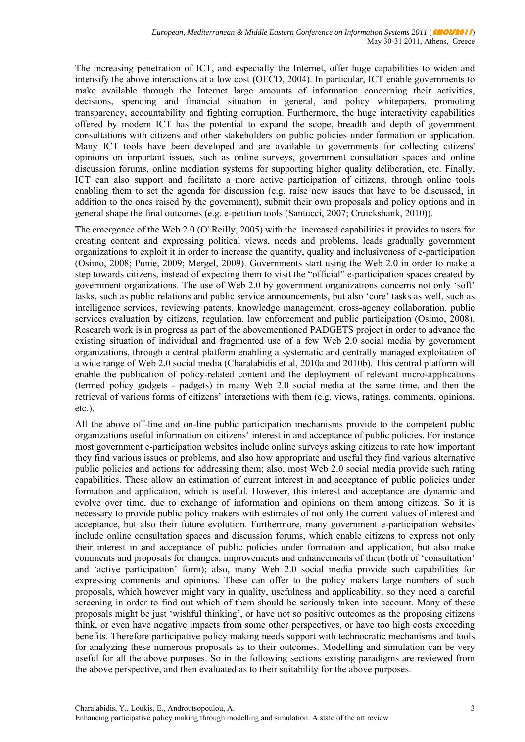The increasing penetration of ICT, and especially the Internet, offer huge capabilities to widen and intensify the above interactions at a low cost (OECD, 2004). In particular, ICT enable governments to make available through the Internet large amounts of information concerning their activities, decisions, spending and financial situation in general, and policy whitepapers, promoting transparency, accountability and fighting corruption. Furthermore, the huge interactivity capabilities offered by modern ICT has the potential to expand the scope, breadth and depth of government consultations with citizens and other stakeholders on public policies under formation or application. Many ICT tools have been developed and are available to governments for collecting citizens' opinions on important issues, such as online surveys, government consultation spaces and online discussion forums, online mediation systems for supporting higher quality deliberation, etc. Finally, ICT can also support and facilitate a more active participation of citizens, through online tools enabling them to set the agenda for discussion (e.g. raise new issues that have to be discussed, in addition to the ones raised by the government), submit their own proposals and policy options and in general shape the final outcomes (e.g. e-petition tools (Santucci, 2007; Cruickshank, 2010)).

The emergence of the Web 2.0 (O' Reilly, 2005) with the increased capabilities it provides to users for creating content and expressing political views, needs and problems, leads gradually government organizations to exploit it in order to increase the quantity, quality and inclusiveness of e-participation (Osimo, 2008; Punie, 2009; Mergel, 2009). Governments start using the Web 2.0 in order to make a step towards citizens, instead of expecting them to visit the "official" e-participation spaces created by government organizations. The use of Web 2.0 by government organizations concerns not only 'soft' tasks, such as public relations and public service announcements, but also 'core' tasks as well, such as intelligence services, reviewing patents, knowledge management, cross-agency collaboration, public services evaluation by citizens, regulation, law enforcement and public participation (Osimo, 2008). Research work is in progress as part of the abovementioned PADGETS project in order to advance the existing situation of individual and fragmented use of a few Web 2.0 social media by government organizations, through a central platform enabling a systematic and centrally managed exploitation of a wide range of Web 2.0 social media (Charalabidis et al, 2010a and 2010b). This central platform will enable the publication of policy-related content and the deployment of relevant micro-applications (termed policy gadgets - padgets) in many Web 2.0 social media at the same time, and then the retrieval of various forms of citizens' interactions with them (e.g. views, ratings, comments, opinions, etc.).

All the above off-line and on-line public participation mechanisms provide to the competent public organizations useful information on citizens' interest in and acceptance of public policies. For instance most government e-participation websites include online surveys asking citizens to rate how important they find various issues or problems, and also how appropriate and useful they find various alternative public policies and actions for addressing them; also, most Web 2.0 social media provide such rating capabilities. These allow an estimation of current interest in and acceptance of public policies under formation and application, which is useful. However, this interest and acceptance are dynamic and evolve over time, due to exchange of information and opinions on them among citizens. So it is necessary to provide public policy makers with estimates of not only the current values of interest and acceptance, but also their future evolution. Furthermore, many government e-participation websites include online consultation spaces and discussion forums, which enable citizens to express not only their interest in and acceptance of public policies under formation and application, but also make comments and proposals for changes, improvements and enhancements of them (both of 'consultation' and 'active participation' form); also, many Web 2.0 social media provide such capabilities for expressing comments and opinions. These can offer to the policy makers large numbers of such proposals, which however might vary in quality, usefulness and applicability, so they need a careful screening in order to find out which of them should be seriously taken into account. Many of these proposals might be just 'wishful thinking', or have not so positive outcomes as the proposing citizens think, or even have negative impacts from some other perspectives, or have too high costs exceeding benefits. Therefore participative policy making needs support with technocratic mechanisms and tools for analyzing these numerous proposals as to their outcomes. Modelling and simulation can be very useful for all the above purposes. So in the following sections existing paradigms are reviewed from the above perspective, and then evaluated as to their suitability for the above purposes.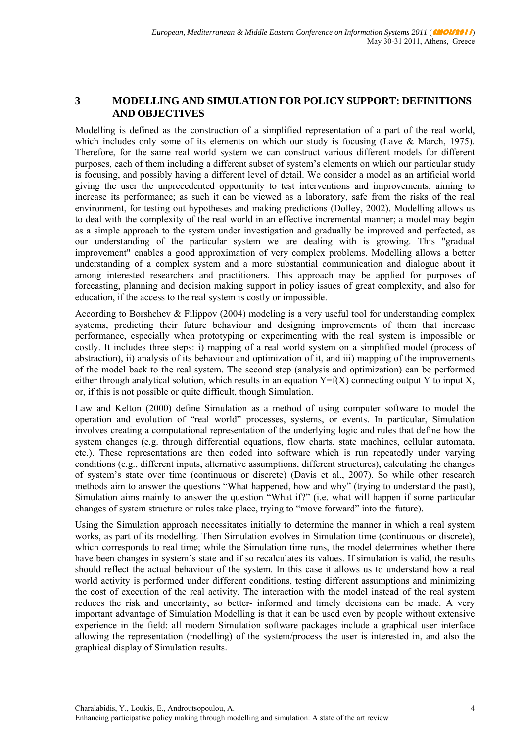# **3 MODELLING AND SIMULATION FOR POLICY SUPPORT: DEFINITIONS AND OBJECTIVES**

Modelling is defined as the construction of a simplified representation of a part of the real world, which includes only some of its elements on which our study is focusing (Lave  $\&$  March, 1975). Therefore, for the same real world system we can construct various different models for different purposes, each of them including a different subset of system's elements on which our particular study is focusing, and possibly having a different level of detail. We consider a model as an artificial world giving the user the unprecedented opportunity to test interventions and improvements, aiming to increase its performance; as such it can be viewed as a laboratory, safe from the risks of the real environment, for testing out hypotheses and making predictions (Dolley, 2002). Modelling allows us to deal with the complexity of the real world in an effective incremental manner; a model may begin as a simple approach to the system under investigation and gradually be improved and perfected, as our understanding of the particular system we are dealing with is growing. This "gradual improvement" enables a good approximation of very complex problems. Modelling allows a better understanding of a complex system and a more substantial communication and dialogue about it among interested researchers and practitioners. This approach may be applied for purposes of forecasting, planning and decision making support in policy issues of great complexity, and also for education, if the access to the real system is costly or impossible.

According to Borshchev & Filippov (2004) modeling is a very useful tool for understanding complex systems, predicting their future behaviour and designing improvements of them that increase performance, especially when prototyping or experimenting with the real system is impossible or costly. It includes three steps: i) mapping of a real world system on a simplified model (process of abstraction), ii) analysis of its behaviour and optimization of it, and iii) mapping of the improvements of the model back to the real system. The second step (analysis and optimization) can be performed either through analytical solution, which results in an equation  $Y=f(X)$  connecting output Y to input X, or, if this is not possible or quite difficult, though Simulation.

Law and Kelton (2000) define Simulation as a method of using computer software to model the operation and evolution of "real world" processes, systems, or events. In particular, Simulation involves creating a computational representation of the underlying logic and rules that define how the system changes (e.g. through differential equations, flow charts, state machines, cellular automata, etc.). These representations are then coded into software which is run repeatedly under varying conditions (e.g., different inputs, alternative assumptions, different structures), calculating the changes of system's state over time (continuous or discrete) (Davis et al., 2007). So while other research methods aim to answer the questions "What happened, how and why" (trying to understand the past), Simulation aims mainly to answer the question "What if?" (i.e. what will happen if some particular changes of system structure or rules take place, trying to "move forward" into the future).

Using the Simulation approach necessitates initially to determine the manner in which a real system works, as part of its modelling. Then Simulation evolves in Simulation time (continuous or discrete), which corresponds to real time; while the Simulation time runs, the model determines whether there have been changes in system's state and if so recalculates its values. If simulation is valid, the results should reflect the actual behaviour of the system. In this case it allows us to understand how a real world activity is performed under different conditions, testing different assumptions and minimizing the cost of execution of the real activity. The interaction with the model instead of the real system reduces the risk and uncertainty, so better- informed and timely decisions can be made. A very important advantage of Simulation Modelling is that it can be used even by people without extensive experience in the field: all modern Simulation software packages include a graphical user interface allowing the representation (modelling) of the system/process the user is interested in, and also the graphical display of Simulation results.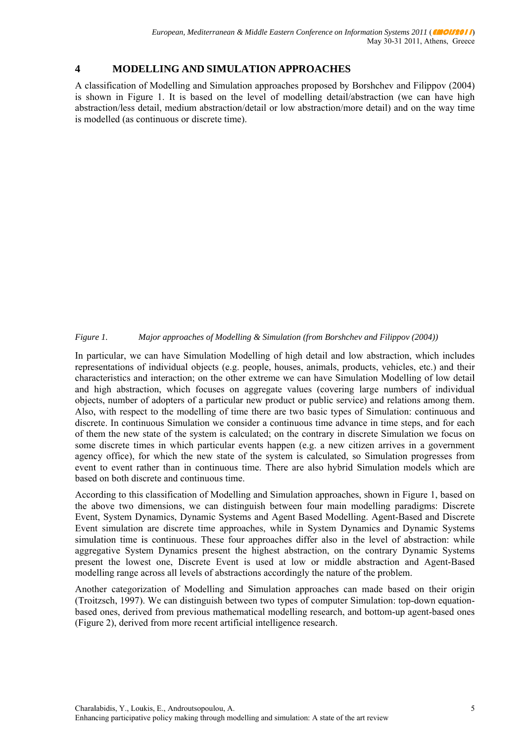#### $\overline{\mathbf{4}}$ **MODELLING AND SIMULATION APPROACHES**

A classification of Modelling and Simulation approaches proposed by Borshchev and Filippov (2004) is shown in Figure 1. It is based on the level of modelling detail/abstraction (we can have high abstraction/less detail, medium abstraction/detail or low abstraction/more detail) and on the way time is modelled (as continuous or discrete time).

#### Major approaches of Modelling & Simulation (from Borshchev and Filippov (2004)) Figure 1.

In particular, we can have Simulation Modelling of high detail and low abstraction, which includes representations of individual objects (e.g. people, houses, animals, products, vehicles, etc.) and their characteristics and interaction; on the other extreme we can have Simulation Modelling of low detail and high abstraction, which focuses on aggregate values (covering large numbers of individual objects, number of adopters of a particular new product or public service) and relations among them. Also, with respect to the modelling of time there are two basic types of Simulation: continuous and discrete. In continuous Simulation we consider a continuous time advance in time steps, and for each of them the new state of the system is calculated; on the contrary in discrete Simulation we focus on some discrete times in which particular events happen (e.g. a new citizen arrives in a government agency office), for which the new state of the system is calculated, so Simulation progresses from event to event rather than in continuous time. There are also hybrid Simulation models which are based on both discrete and continuous time.

According to this classification of Modelling and Simulation approaches, shown in Figure 1, based on the above two dimensions, we can distinguish between four main modelling paradigms: Discrete Event, System Dynamics, Dynamic Systems and Agent Based Modelling, Agent-Based and Discrete Event simulation are discrete time approaches, while in System Dynamics and Dynamic Systems simulation time is continuous. These four approaches differ also in the level of abstraction; while aggregative System Dynamics present the highest abstraction, on the contrary Dynamic Systems present the lowest one. Discrete Event is used at low or middle abstraction and Agent-Based modelling range across all levels of abstractions accordingly the nature of the problem.

Another categorization of Modelling and Simulation approaches can made based on their origin (Troitzsch, 1997). We can distinguish between two types of computer Simulation: top-down equationbased ones, derived from previous mathematical modelling research, and bottom-up agent-based ones (Figure 2), derived from more recent artificial intelligence research.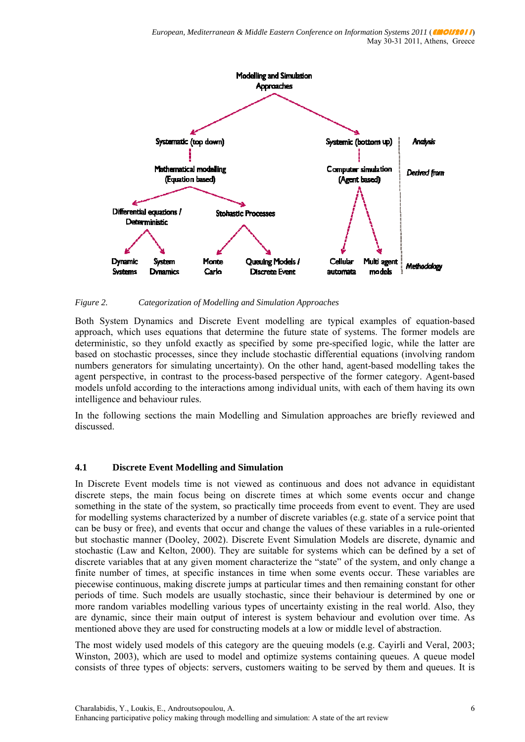

Figure 2. Categorization of Modelling and Simulation Approaches

Both System Dynamics and Discrete Event modelling are typical examples of equation-based approach, which uses equations that determine the future state of systems. The former models are deterministic, so they unfold exactly as specified by some pre-specified logic, while the latter are based on stochastic processes, since they include stochastic differential equations (involving random numbers generators for simulating uncertainty). On the other hand, agent-based modelling takes the agent perspective, in contrast to the process-based perspective of the former category. Agent-based models unfold according to the interactions among individual units, with each of them having its own intelligence and behaviour rules.

In the following sections the main Modelling and Simulation approaches are briefly reviewed and discussed.

#### $4.1$ **Discrete Event Modelling and Simulation**

In Discrete Event models time is not viewed as continuous and does not advance in equidistant discrete steps, the main focus being on discrete times at which some events occur and change something in the state of the system, so practically time proceeds from event to event. They are used for modelling systems characterized by a number of discrete variables (e.g. state of a service point that can be busy or free), and events that occur and change the values of these variables in a rule-oriented but stochastic manner (Dooley, 2002). Discrete Event Simulation Models are discrete, dynamic and stochastic (Law and Kelton, 2000). They are suitable for systems which can be defined by a set of discrete variables that at any given moment characterize the "state" of the system, and only change a finite number of times, at specific instances in time when some events occur. These variables are piecewise continuous, making discrete jumps at particular times and then remaining constant for other periods of time. Such models are usually stochastic, since their behaviour is determined by one or more random variables modelling various types of uncertainty existing in the real world. Also, they are dynamic, since their main output of interest is system behaviour and evolution over time. As mentioned above they are used for constructing models at a low or middle level of abstraction.

The most widely used models of this category are the queuing models (e.g. Cavirli and Veral, 2003; Winston, 2003), which are used to model and optimize systems containing queues. A queue model consists of three types of objects: servers, customers waiting to be served by them and queues. It is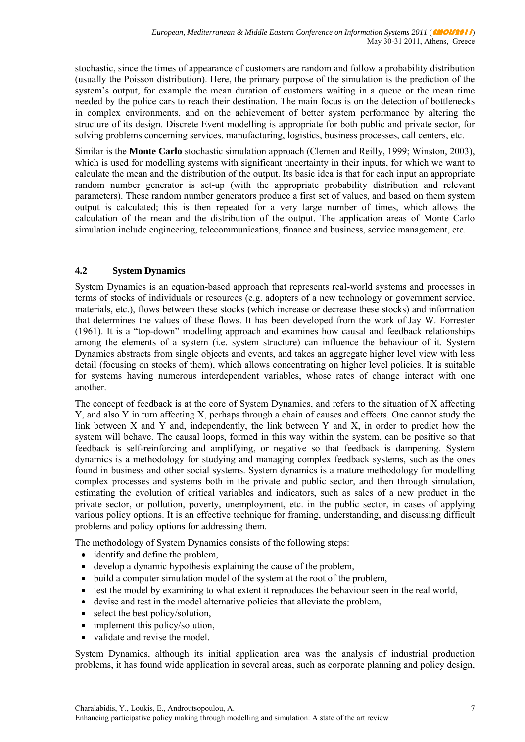stochastic, since the times of appearance of customers are random and follow a probability distribution (usually the Poisson distribution). Here, the primary purpose of the simulation is the prediction of the system's output, for example the mean duration of customers waiting in a queue or the mean time needed by the police cars to reach their destination. The main focus is on the detection of bottlenecks in complex environments, and on the achievement of better system performance by altering the structure of its design. Discrete Event modelling is appropriate for both public and private sector, for solving problems concerning services, manufacturing, logistics, business processes, call centers, etc.

Similar is the **Monte Carlo** stochastic simulation approach (Clemen and Reilly, 1999; Winston, 2003), which is used for modelling systems with significant uncertainty in their inputs, for which we want to calculate the mean and the distribution of the output. Its basic idea is that for each input an appropriate random number generator is set-up (with the appropriate probability distribution and relevant parameters). These random number generators produce a first set of values, and based on them system output is calculated; this is then repeated for a very large number of times, which allows the calculation of the mean and the distribution of the output. The application areas of Monte Carlo simulation include engineering, telecommunications, finance and business, service management, etc.

## **4.2 System Dynamics**

System Dynamics is an equation-based approach that represents real-world systems and processes in terms of stocks of individuals or resources (e.g. adopters of a new technology or government service, materials, etc.), flows between these stocks (which increase or decrease these stocks) and information that determines the values of these flows. It has been developed from the work of [Jay W. Forrester](http://sysdyn.clexchange.org/people/jay-forrester.html) (1961). It is a "top-down" modelling approach and examines how causal and feedback relationships among the elements of a system (i.e. system structure) can influence the behaviour of it. System Dynamics abstracts from single objects and events, and takes an aggregate higher level view with less detail (focusing on stocks of them), which allows concentrating on higher level policies. It is suitable for systems having numerous interdependent variables, whose rates of change interact with one another.

The concept of feedback is at the core of System Dynamics, and refers to the situation of X affecting Y, and also Y in turn affecting X, perhaps through a chain of causes and effects. One cannot study the link between X and Y and, independently, the link between Y and X, in order to predict how the system will behave. The causal loops, formed in this way within the system, can be positive so that feedback is self-reinforcing and amplifying, or negative so that feedback is dampening. System dynamics is a methodology for studying and managing complex feedback systems, such as the ones found in business and other social systems. System dynamics is a mature methodology for modelling complex processes and systems both in the private and public sector, and then through simulation, estimating the evolution of critical variables and indicators, such as sales of a new product in the private sector, or pollution, poverty, unemployment, etc. in the public sector, in cases of applying various policy options. It is an effective technique for framing, understanding, and discussing difficult problems and policy options for addressing them.

The methodology of System Dynamics consists of the following steps:

- identify and define the problem,
- develop a dynamic hypothesis explaining the cause of the problem,
- build a computer simulation model of the system at the root of the problem,
- test the model by examining to what extent it reproduces the behaviour seen in the real world,
- devise and test in the model alternative policies that alleviate the problem,
- select the best policy/solution,
- implement this policy/solution.
- validate and revise the model

System Dynamics, although its initial application area was the analysis of industrial production problems, it has found wide application in several areas, such as corporate planning and policy design,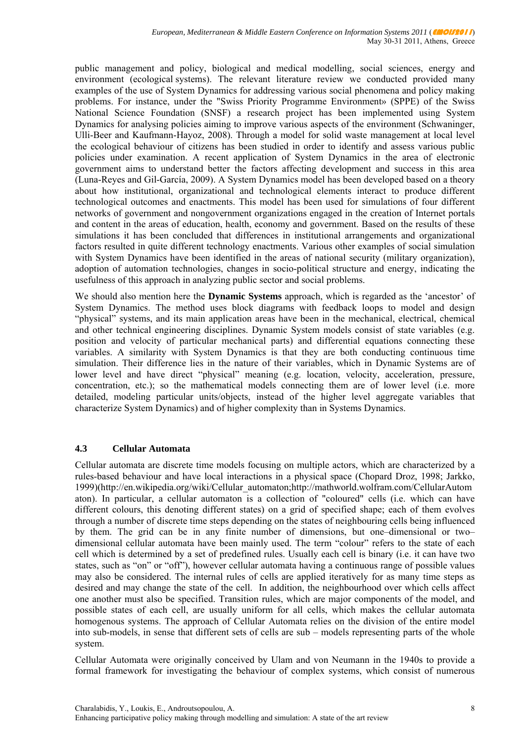public management and policy, biological and medical modelling, social sciences, energy and environment (ecological systems). The relevant literature review we conducted provided many examples of the use of System Dynamics for addressing various social phenomena and policy making problems. For instance, under the "Swiss Priority Programme Environment» (SPPE) of the Swiss National Science Foundation (SNSF) a research project has been implemented using System Dynamics for analysing policies aiming to improve various aspects of the environment (Schwaninger, Ulli-Beer and Kaufmann-Hayoz, 2008). Through a model for solid waste management at local level the ecological behaviour of citizens has been studied in order to identify and assess various public policies under examination. A recent application of System Dynamics in the area of electronic government aims to understand better the factors affecting development and success in this area (Luna-Reyes and Gil-García, 2009). A System Dynamics model has been developed based on a theory about how institutional, organizational and technological elements interact to produce different technological outcomes and enactments. This model has been used for simulations of four different networks of government and nongovernment organizations engaged in the creation of Internet portals and content in the areas of education, health, economy and government. Based on the results of these simulations it has been concluded that differences in institutional arrangements and organizational factors resulted in quite different technology enactments. Various other examples of social simulation with System Dynamics have been identified in the areas of national security (military organization), adoption of automation technologies, changes in socio-political structure and energy, indicating the usefulness of this approach in analyzing public sector and social problems.

We should also mention here the **Dynamic Systems** approach, which is regarded as the 'ancestor' of System Dynamics. The method uses block diagrams with feedback loops to model and design "physical" systems, and its main application areas have been in the mechanical, electrical, chemical and other technical engineering disciplines. Dynamic System models consist of state variables (e.g. position and velocity of particular mechanical parts) and differential equations connecting these variables. A similarity with System Dynamics is that they are both conducting continuous time simulation. Their difference lies in the nature of their variables, which in Dynamic Systems are of lower level and have direct "physical" meaning (e.g. location, velocity, acceleration, pressure, concentration, etc.); so the mathematical models connecting them are of lower level (i.e. more detailed, modeling particular units/objects, instead of the higher level aggregate variables that characterize System Dynamics) and of higher complexity than in Systems Dynamics.

## **4.3 Cellular Automata**

Cellular automata are discrete time models focusing on multiple actors, which are characterized by a rules-based behaviour and have local interactions in a physical space (Chopard Droz, 1998; Jarkko, 1999)(http://en.wikipedia.org/wiki/Cellular\_automaton;http://mathworld.wolfram.com/CellularAutom aton). In particular, a cellular automaton is a collection of "coloured" cells (i.e. which can have different colours, this denoting different states) on a grid of specified shape; each of them evolves through a number of discrete time steps depending on the states of neighbouring cells being influenced by them. The grid can be in any finite number of dimensions, but one–dimensional or two– dimensional cellular automata have been mainly used. The term "colour" refers to the state of each cell which is determined by a set of predefined rules. Usually each cell is binary (i.e. it can have two states, such as "on" or "off"), however cellular automata having a continuous range of possible values may also be considered. The internal rules of cells are applied iteratively for as many time steps as desired and may change the state of the cell. In addition, the neighbourhood over which cells affect one another must also be specified. Transition rules, which are major components of the model, and possible states of each cell, are usually uniform for all cells, which makes the cellular automata homogenous systems. The approach of Cellular Automata relies on the division of the entire model into sub-models, in sense that different sets of cells are sub – models representing parts of the whole system.

Cellular Automata were originally conceived by Ulam and von Neumann in the 1940s to provide a formal framework for investigating the behaviour of complex systems, which consist of numerous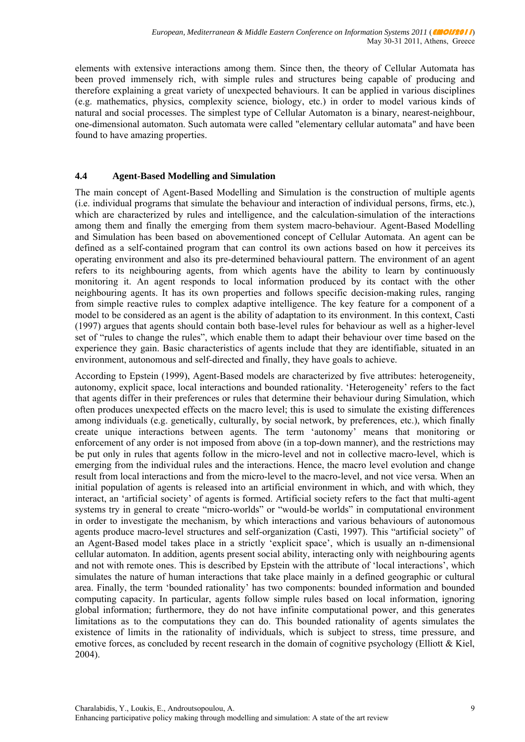elements with extensive interactions among them. Since then, the theory of Cellular Automata has been proved immensely rich, with simple rules and structures being capable of producing and therefore explaining a great variety of unexpected behaviours. It can be applied in various disciplines (e.g. mathematics, physics, complexity science, biology, etc.) in order to model various kinds of natural and social processes. The simplest type of Cellular Automaton is a binary, nearest-neighbour, one-dimensional automaton. Such automata were called "elementary cellular automata" and have been found to have amazing properties.

# **4.4 Agent-Based Modelling and Simulation**

The main concept of Agent-Based Modelling and Simulation is the construction of multiple agents (i.e. individual programs that simulate the behaviour and interaction of individual persons, firms, etc.), which are characterized by rules and intelligence, and the calculation-simulation of the interactions among them and finally the emerging from them system macro-behaviour. Agent-Based Modelling and Simulation has been based on abovementioned concept of Cellular Automata. An agent can be defined as a self-contained program that can control its own actions based on how it perceives its operating environment and also its pre-determined behavioural pattern. The environment of an agent refers to its neighbouring agents, from which agents have the ability to learn by continuously monitoring it. An agent responds to local information produced by its contact with the other neighbouring agents. It has its own properties and follows specific decision-making rules, ranging from simple reactive rules to complex adaptive intelligence. The key feature for a component of a model to be considered as an agent is the ability of adaptation to its environment. In this context, Casti (1997) argues that agents should contain both base-level rules for behaviour as well as a higher-level set of "rules to change the rules", which enable them to adapt their behaviour over time based on the experience they gain. Basic characteristics of agents include that they are identifiable, situated in an environment, autonomous and self-directed and finally, they have goals to achieve.

According to Epstein (1999), Agent-Based models are characterized by five attributes: heterogeneity, autonomy, explicit space, local interactions and bounded rationality. 'Heterogeneity' refers to the fact that agents differ in their preferences or rules that determine their behaviour during Simulation, which often produces unexpected effects on the macro level; this is used to simulate the existing differences among individuals (e.g. genetically, culturally, by social network, by preferences, etc.), which finally create unique interactions between agents. The term 'autonomy' means that monitoring or enforcement of any order is not imposed from above (in a top-down manner), and the restrictions may be put only in rules that agents follow in the micro-level and not in collective macro-level, which is emerging from the individual rules and the interactions. Hence, the macro level evolution and change result from local interactions and from the micro-level to the macro-level, and not vice versa. When an initial population of agents is released into an artificial environment in which, and with which, they interact, an 'artificial society' of agents is formed. Artificial society refers to the fact that multi-agent systems try in general to create "micro-worlds" or "would-be worlds" in computational environment in order to investigate the mechanism, by which interactions and various behaviours of autonomous agents produce macro-level structures and self-organization (Casti, 1997). This "artificial society" of an Agent-Based model takes place in a strictly 'explicit space', which is usually an n-dimensional cellular automaton. In addition, agents present social ability, interacting only with neighbouring agents and not with remote ones. This is described by Epstein with the attribute of 'local interactions', which simulates the nature of human interactions that take place mainly in a defined geographic or cultural area. Finally, the term 'bounded rationality' has two components: bounded information and bounded computing capacity. In particular, agents follow simple rules based on local information, ignoring global information; furthermore, they do not have infinite computational power, and this generates limitations as to the computations they can do. This bounded rationality of agents simulates the existence of limits in the rationality of individuals, which is subject to stress, time pressure, and emotive forces, as concluded by recent research in the domain of cognitive psychology (Elliott & Kiel, 2004).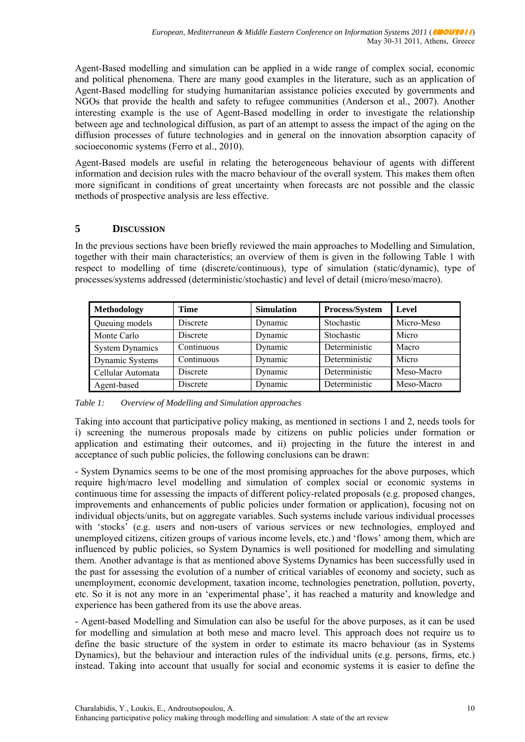Agent-Based modelling and simulation can be applied in a wide range of complex social, economic and political phenomena. There are many good examples in the literature, such as an application of Agent-Based modelling for studying humanitarian assistance policies executed by governments and NGOs that provide the health and safety to refugee communities (Anderson et al., 2007). Another interesting example is the use of Agent-Based modelling in order to investigate the relationship between age and technological diffusion, as part of an attempt to assess the impact of the aging on the diffusion processes of future technologies and in general on the innovation absorption capacity of socioeconomic systems (Ferro et al., 2010).

Agent-Based models are useful in relating the heterogeneous behaviour of agents with different information and decision rules with the macro behaviour of the overall system. This makes them often more significant in conditions of great uncertainty when forecasts are not possible and the classic methods of prospective analysis are less effective.

# **5 DISCUSSION**

In the previous sections have been briefly reviewed the main approaches to Modelling and Simulation, together with their main characteristics; an overview of them is given in the following Table 1 with respect to modelling of time (discrete/continuous), type of simulation (static/dynamic), type of processes/systems addressed (deterministic/stochastic) and level of detail (micro/meso/macro).

| Methodology            | <b>Time</b>     | <b>Simulation</b> | Process/System | Level      |
|------------------------|-----------------|-------------------|----------------|------------|
| Queuing models         | <b>Discrete</b> | Dynamic           | Stochastic     | Micro-Meso |
| Monte Carlo            | Discrete        | Dynamic           | Stochastic     | Micro      |
| <b>System Dynamics</b> | Continuous      | Dynamic           | Deterministic  | Macro      |
| Dynamic Systems        | Continuous      | Dynamic           | Deterministic  | Micro      |
| Cellular Automata      | Discrete        | Dynamic           | Deterministic  | Meso-Macro |
| Agent-based            | Discrete        | Dynamic           | Deterministic  | Meso-Macro |

*Table 1: Overview of Modelling and Simulation approaches* 

Taking into account that participative policy making, as mentioned in sections 1 and 2, needs tools for i) screening the numerous proposals made by citizens on public policies under formation or application and estimating their outcomes, and ii) projecting in the future the interest in and acceptance of such public policies, the following conclusions can be drawn:

- System Dynamics seems to be one of the most promising approaches for the above purposes, which require high/macro level modelling and simulation of complex social or economic systems in continuous time for assessing the impacts of different policy-related proposals (e.g. proposed changes, improvements and enhancements of public policies under formation or application), focusing not on individual objects/units, but on aggregate variables. Such systems include various individual processes with 'stocks' (e.g. users and non-users of various services or new technologies, employed and unemployed citizens, citizen groups of various income levels, etc.) and 'flows' among them, which are influenced by public policies, so System Dynamics is well positioned for modelling and simulating them. Another advantage is that as mentioned above Systems Dynamics has been successfully used in the past for assessing the evolution of a number of critical variables of economy and society, such as unemployment, economic development, taxation income, technologies penetration, pollution, poverty, etc. So it is not any more in an 'experimental phase', it has reached a maturity and knowledge and experience has been gathered from its use the above areas.

- Agent-based Modelling and Simulation can also be useful for the above purposes, as it can be used for modelling and simulation at both meso and macro level. This approach does not require us to define the basic structure of the system in order to estimate its macro behaviour (as in Systems Dynamics), but the behaviour and interaction rules of the individual units (e.g. persons, firms, etc.) instead. Taking into account that usually for social and economic systems it is easier to define the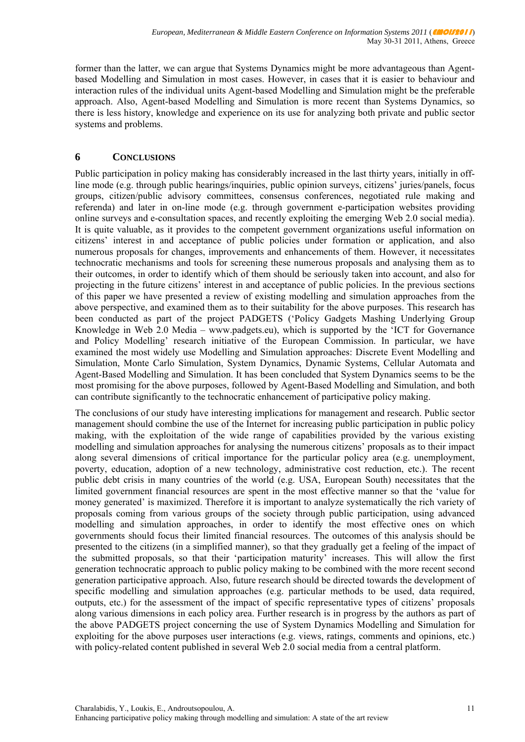former than the latter, we can argue that Systems Dynamics might be more advantageous than Agentbased Modelling and Simulation in most cases. However, in cases that it is easier to behaviour and interaction rules of the individual units Agent-based Modelling and Simulation might be the preferable approach. Also, Agent-based Modelling and Simulation is more recent than Systems Dynamics, so there is less history, knowledge and experience on its use for analyzing both private and public sector systems and problems.

# **6 CONCLUSIONS**

Public participation in policy making has considerably increased in the last thirty years, initially in offline mode (e.g. through public hearings/inquiries, public opinion surveys, citizens' juries/panels, focus groups, citizen/public advisory committees, consensus conferences, negotiated rule making and referenda) and later in on-line mode (e.g. through government e-participation websites providing online surveys and e-consultation spaces, and recently exploiting the emerging Web 2.0 social media). It is quite valuable, as it provides to the competent government organizations useful information on citizens' interest in and acceptance of public policies under formation or application, and also numerous proposals for changes, improvements and enhancements of them. However, it necessitates technocratic mechanisms and tools for screening these numerous proposals and analysing them as to their outcomes, in order to identify which of them should be seriously taken into account, and also for projecting in the future citizens' interest in and acceptance of public policies. In the previous sections of this paper we have presented a review of existing modelling and simulation approaches from the above perspective, and examined them as to their suitability for the above purposes. This research has been conducted as part of the project PADGETS ('Policy Gadgets Mashing Underlying Group Knowledge in Web 2.0 Media – www.padgets.eu), which is supported by the 'ICT for Governance and Policy Modelling' research initiative of the European Commission. In particular, we have examined the most widely use Modelling and Simulation approaches: Discrete Event Modelling and Simulation, Monte Carlo Simulation, System Dynamics, Dynamic Systems, Cellular Automata and Agent-Based Modelling and Simulation. It has been concluded that System Dynamics seems to be the most promising for the above purposes, followed by Agent-Based Modelling and Simulation, and both can contribute significantly to the technocratic enhancement of participative policy making.

The conclusions of our study have interesting implications for management and research. Public sector management should combine the use of the Internet for increasing public participation in public policy making, with the exploitation of the wide range of capabilities provided by the various existing modelling and simulation approaches for analysing the numerous citizens' proposals as to their impact along several dimensions of critical importance for the particular policy area (e.g. unemployment, poverty, education, adoption of a new technology, administrative cost reduction, etc.). The recent public debt crisis in many countries of the world (e.g. USA, European South) necessitates that the limited government financial resources are spent in the most effective manner so that the 'value for money generated' is maximized. Therefore it is important to analyze systematically the rich variety of proposals coming from various groups of the society through public participation, using advanced modelling and simulation approaches, in order to identify the most effective ones on which governments should focus their limited financial resources. The outcomes of this analysis should be presented to the citizens (in a simplified manner), so that they gradually get a feeling of the impact of the submitted proposals, so that their 'participation maturity' increases. This will allow the first generation technocratic approach to public policy making to be combined with the more recent second generation participative approach. Also, future research should be directed towards the development of specific modelling and simulation approaches (e.g. particular methods to be used, data required, outputs, etc.) for the assessment of the impact of specific representative types of citizens' proposals along various dimensions in each policy area. Further research is in progress by the authors as part of the above PADGETS project concerning the use of System Dynamics Modelling and Simulation for exploiting for the above purposes user interactions (e.g. views, ratings, comments and opinions, etc.) with policy-related content published in several Web 2.0 social media from a central platform.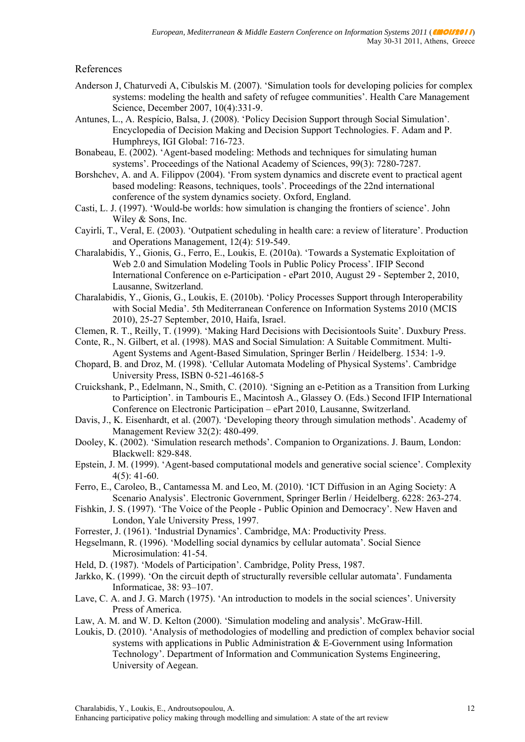## References

- Anderson J, Chaturvedi A, Cibulskis M. (2007). 'Simulation tools for developing policies for complex systems: modeling the health and safety of refugee communities'. Health Care Management Science, December 2007, 10(4):331-9.
- Antunes, L., A. Respício, Balsa, J. (2008). 'Policy Decision Support through Social Simulation'. Encyclopedia of Decision Making and Decision Support Technologies. F. Adam and P. Humphreys, IGI Global: 716-723.
- Bonabeau, E. (2002). 'Agent-based modeling: Methods and techniques for simulating human systems'. Proceedings of the National Academy of Sciences, 99(3): 7280-7287.
- Borshchev, A. and A. Filippov (2004). 'From system dynamics and discrete event to practical agent based modeling: Reasons, techniques, tools'. Proceedings of the 22nd international conference of the system dynamics society. Oxford, England.
- Casti, L. J. (1997). 'Would-be worlds: how simulation is changing the frontiers of science'. John Wiley & Sons, Inc.
- Cayirli, T., Veral, E. (2003). 'Outpatient scheduling in health care: a review of literature'. Production and Operations Management, 12(4): 519-549.
- Charalabidis, Y., Gionis, G., Ferro, E., Loukis, E. (2010a). 'Towards a Systematic Exploitation of Web 2.0 and Simulation Modeling Tools in Public Policy Process'. IFIP Second International Conference on e-Participation - ePart 2010, August 29 - September 2, 2010, Lausanne, Switzerland.
- Charalabidis, Y., Gionis, G., Loukis, E. (2010b). 'Policy Processes Support through Interoperability with Social Media'. 5th Mediterranean Conference on Information Systems 2010 (MCIS 2010), 25-27 September, 2010, Haifa, Israel.
- Clemen, R. T., Reilly, T. (1999). 'Making Hard Decisions with Decisiontools Suite'. Duxbury Press.
- Conte, R., N. Gilbert, et al. (1998). MAS and Social Simulation: A Suitable Commitment. Multi-Agent Systems and Agent-Based Simulation, Springer Berlin / Heidelberg. 1534: 1-9.
- Chopard, B. and Droz, M. (1998). 'Cellular Automata Modeling of Physical Systems'. Cambridge University Press, ISBN 0-521-46168-5
- Cruickshank, P., Edelmann, N., Smith, C. (2010). 'Signing an e-Petition as a Transition from Lurking to Particiption'. in Tambouris E., Macintosh A., Glassey O. (Eds.) Second IFIP International Conference on Electronic Participation – ePart 2010, Lausanne, Switzerland.
- Davis, J., K. Eisenhardt, et al. (2007). 'Developing theory through simulation methods'. Academy of Management Review 32(2): 480-499.
- Dooley, K. (2002). 'Simulation research methods'. Companion to Organizations. J. Baum, London: Blackwell: 829-848.
- Epstein, J. M. (1999). 'Agent-based computational models and generative social science'. Complexity  $4(5)$ : 41-60.
- Ferro, E., Caroleo, B., Cantamessa M. and Leo, M. (2010). 'ICT Diffusion in an Aging Society: A Scenario Analysis'. Electronic Government, Springer Berlin / Heidelberg. 6228: 263-274.
- Fishkin, J. S. (1997). 'The Voice of the People Public Opinion and Democracy'. New Haven and London, Yale University Press, 1997.
- Forrester, J. (1961). 'Industrial Dynamics'. Cambridge, MA: Productivity Press.
- Hegselmann, R. (1996). 'Modelling social dynamics by cellular automata'. Social Sience Microsimulation: 41-54.
- Held, D. (1987). 'Models of Participation'. Cambridge, Polity Press, 1987.
- Jarkko, K. (1999). 'On the circuit depth of structurally reversible cellular automata'. Fundamenta Informaticae, 38: 93–107.
- Lave, C. A. and J. G. March (1975). 'An introduction to models in the social sciences'. University Press of America.
- Law, A. M. and W. D. Kelton (2000). 'Simulation modeling and analysis'. McGraw-Hill.
- Loukis, D. (2010). 'Analysis of methodologies of modelling and prediction of complex behavior social systems with applications in Public Administration & E-Government using Information Technology'. Department of Information and Communication Systems Engineering, University of Aegean.